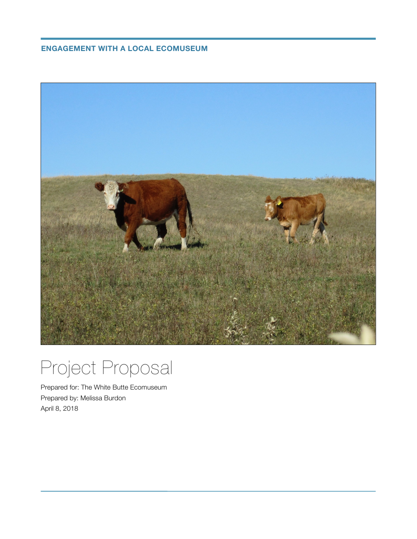**ENGAGEMENT WITH A LOCAL ECOMUSEUM**



# Project Proposal

Prepared for: The White Butte Ecomuseum Prepared by: Melissa Burdon April 8, 2018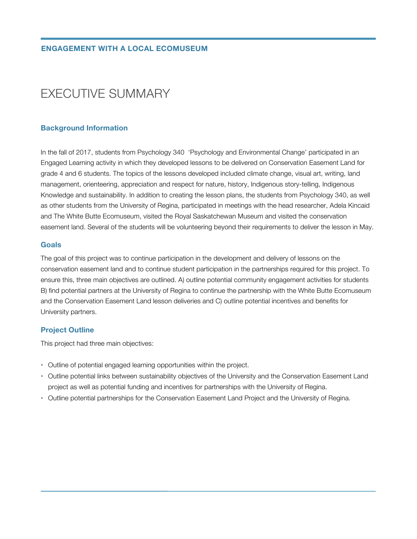# EXECUTIVE SUMMARY

# **Background Information**

In the fall of 2017, students from Psychology 340 'Psychology and Environmental Change' participated in an Engaged Learning activity in which they developed lessons to be delivered on Conservation Easement Land for grade 4 and 6 students. The topics of the lessons developed included climate change, visual art, writing, land management, orienteering, appreciation and respect for nature, history, Indigenous story-telling, Indigenous Knowledge and sustainability. In addition to creating the lesson plans, the students from Psychology 340, as well as other students from the University of Regina, participated in meetings with the head researcher, Adela Kincaid and The White Butte Ecomuseum, visited the Royal Saskatchewan Museum and visited the conservation easement land. Several of the students will be volunteering beyond their requirements to deliver the lesson in May.

#### **Goals**

The goal of this project was to continue participation in the development and delivery of lessons on the conservation easement land and to continue student participation in the partnerships required for this project. To ensure this, three main objectives are outlined. A) outline potential community engagement activities for students B) find potential partners at the University of Regina to continue the partnership with the White Butte Ecomuseum and the Conservation Easement Land lesson deliveries and C) outline potential incentives and benefits for University partners.

# **Project Outline**

This project had three main objectives:

- Outline of potential engaged learning opportunities within the project.
- Outline potential links between sustainability objectives of the University and the Conservation Easement Land project as well as potential funding and incentives for partnerships with the University of Regina.
- Outline potential partnerships for the Conservation Easement Land Project and the University of Regina.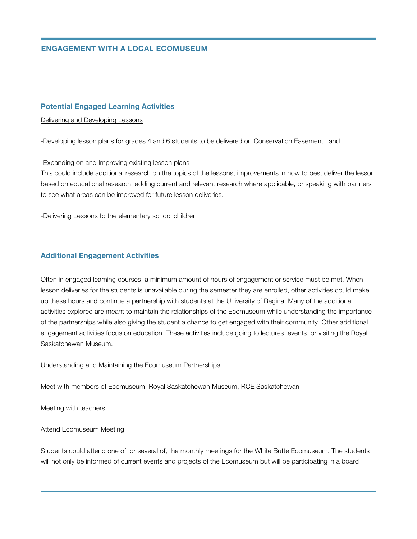# **ENGAGEMENT WITH A LOCAL ECOMUSEUM**

#### **Potential Engaged Learning Activities**

#### Delivering and Developing Lessons

-Developing lesson plans for grades 4 and 6 students to be delivered on Conservation Easement Land

-Expanding on and Improving existing lesson plans

This could include additional research on the topics of the lessons, improvements in how to best deliver the lesson based on educational research, adding current and relevant research where applicable, or speaking with partners to see what areas can be improved for future lesson deliveries.

-Delivering Lessons to the elementary school children

#### **Additional Engagement Activities**

Often in engaged learning courses, a minimum amount of hours of engagement or service must be met. When lesson deliveries for the students is unavailable during the semester they are enrolled, other activities could make up these hours and continue a partnership with students at the University of Regina. Many of the additional activities explored are meant to maintain the relationships of the Ecomuseum while understanding the importance of the partnerships while also giving the student a chance to get engaged with their community. Other additional engagement activities focus on education. These activities include going to lectures, events, or visiting the Royal Saskatchewan Museum.

#### Understanding and Maintaining the Ecomuseum Partnerships

Meet with members of Ecomuseum, Royal Saskatchewan Museum, RCE Saskatchewan

Meeting with teachers

#### Attend Ecomuseum Meeting

Students could attend one of, or several of, the monthly meetings for the White Butte Ecomuseum. The students will not only be informed of current events and projects of the Ecomuseum but will be participating in a board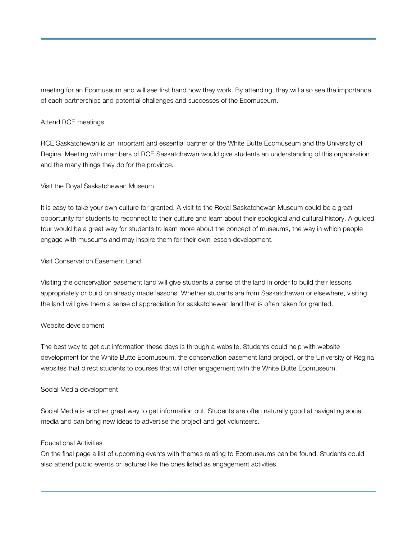meeting for an Ecomuseum and will see first hand how they work. By attending, they will also see the importance of each partnerships and potential challenges and successes of the Ecomuseum.

# Attend RCE meetings

RCE Saskatchewan is an important and essential partner of the White Butte Ecomuseum and the University of Regina. Meeting with members of RCE Saskatchewan would give students an understanding of this organization and the many things they do for the province.

#### Visit the Royal Saskatchewan Museum

It is easy to take your own culture for granted. A visit to the Royal Saskatchewan Museum could be a great opportunity for students to reconnect to their culture and learn about their ecological and cultural history. A guided tour would be a great way for students to learn more about the concept of museums, the way in which people engage with museums and may inspire them for their own lesson development.

#### Visit Conservation Easement Land

Visiting the conservation easement land will give students a sense of the land in order to build their lessons appropriately or build on already made lessons. Whether students are from Saskatchewan or elsewhere, visiting the land will give them a sense of appreciation for saskatchewan land that is often taken for granted.

# Website development

The best way to get out information these days is through a website. Students could help with website development for the White Butte Ecomuseum, the conservation easement land project, or the University of Regina websites that direct students to courses that will offer engagement with the White Butte Ecomuseum.

# Social Media development

Social Media is another great way to get information out. Students are often naturally good at navigating social media and can bring new ideas to advertise the project and get volunteers.

#### Educational Activities

On the final page a list of upcoming events with themes relating to Ecomuseums can be found. Students could also attend public events or lectures like the ones listed as engagement activities.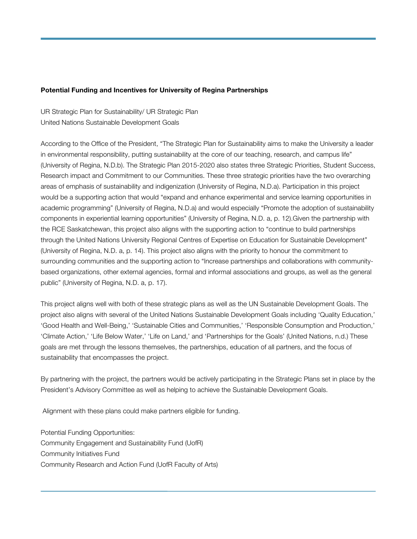# **Potential Funding and Incentives for University of Regina Partnerships**

UR Strategic Plan for Sustainability/ UR Strategic Plan United Nations Sustainable Development Goals

According to the Office of the President, "The Strategic Plan for Sustainability aims to make the University a leader in environmental responsibility, putting sustainability at the core of our teaching, research, and campus life" (University of Regina, N.D.b). The Strategic Plan 2015-2020 also states three Strategic Priorities, Student Success, Research impact and Commitment to our Communities. These three strategic priorities have the two overarching areas of emphasis of sustainability and indigenization (University of Regina, N.D.a). Participation in this project would be a supporting action that would "expand and enhance experimental and service learning opportunities in academic programming" (University of Regina, N.D.a) and would especially "Promote the adoption of sustainability components in experiential learning opportunities" (University of Regina, N.D. a, p. 12).Given the partnership with the RCE Saskatchewan, this project also aligns with the supporting action to "continue to build partnerships through the United Nations University Regional Centres of Expertise on Education for Sustainable Development" (University of Regina, N.D. a, p. 14). This project also aligns with the priority to honour the commitment to surrounding communities and the supporting action to "Increase partnerships and collaborations with communitybased organizations, other external agencies, formal and informal associations and groups, as well as the general public" (University of Regina, N.D. a, p. 17).

This project aligns well with both of these strategic plans as well as the UN Sustainable Development Goals. The project also aligns with several of the United Nations Sustainable Development Goals including 'Quality Education,' 'Good Health and Well-Being,' 'Sustainable Cities and Communities,' 'Responsible Consumption and Production,' 'Climate Action,' 'Life Below Water,' 'Life on Land,' and 'Partnerships for the Goals' (United Nations, n.d.) These goals are met through the lessons themselves, the partnerships, education of all partners, and the focus of sustainability that encompasses the project.

By partnering with the project, the partners would be actively participating in the Strategic Plans set in place by the President's Advisory Committee as well as helping to achieve the Sustainable Development Goals.

Alignment with these plans could make partners eligible for funding.

Potential Funding Opportunities: Community Engagement and Sustainability Fund (UofR) Community Initiatives Fund Community Research and Action Fund (UofR Faculty of Arts)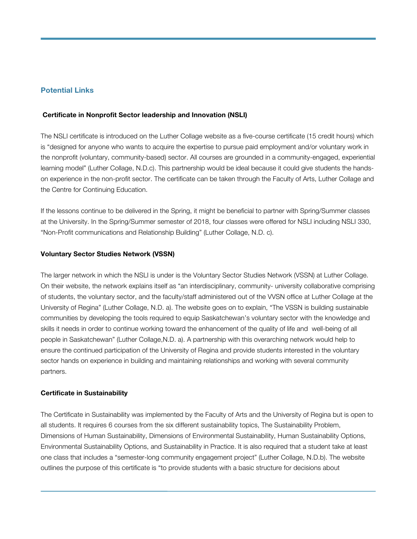# **Potential Links**

#### **Certificate in Nonprofit Sector leadership and Innovation (NSLI)**

The NSLI certificate is introduced on the Luther Collage website as a five-course certificate (15 credit hours) which is "designed for anyone who wants to acquire the expertise to pursue paid employment and/or voluntary work in the nonprofit (voluntary, community-based) sector. All courses are grounded in a community-engaged, experiential learning model" (Luther Collage, N.D.c). This partnership would be ideal because it could give students the handson experience in the non-profit sector. The certificate can be taken through the Faculty of Arts, Luther Collage and the Centre for Continuing Education.

If the lessons continue to be delivered in the Spring, it might be beneficial to partner with Spring/Summer classes at the University. In the Spring/Summer semester of 2018, four classes were offered for NSLI including NSLI 330, "Non-Profit communications and Relationship Building" (Luther Collage, N.D. c).

#### **Voluntary Sector Studies Network (VSSN)**

The larger network in which the NSLI is under is the Voluntary Sector Studies Network (VSSN) at Luther Collage. On their website, the network explains itself as "an interdisciplinary, community- university collaborative comprising of students, the voluntary sector, and the faculty/staff administered out of the VVSN office at Luther Collage at the University of Regina" (Luther Collage, N.D. a). The website goes on to explain, "The VSSN is building sustainable communities by developing the tools required to equip Saskatchewan's voluntary sector with the knowledge and skills it needs in order to continue working toward the enhancement of the quality of life and well-being of all people in Saskatchewan" (Luther Collage,N.D. a). A partnership with this overarching network would help to ensure the continued participation of the University of Regina and provide students interested in the voluntary sector hands on experience in building and maintaining relationships and working with several community partners.

#### **Certificate in Sustainability**

The Certificate in Sustainability was implemented by the Faculty of Arts and the University of Regina but is open to all students. It requires 6 courses from the six different sustainability topics, The Sustainability Problem, Dimensions of Human Sustainability, Dimensions of Environmental Sustainability, Human Sustainability Options, Environmental Sustainability Options, and Sustainability in Practice. It is also required that a student take at least one class that includes a "semester-long community engagement project" (Luther Collage, N.D.b). The website outlines the purpose of this certificate is "to provide students with a basic structure for decisions about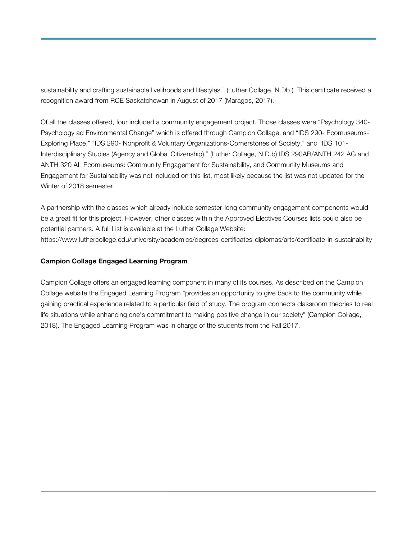sustainability and crafting sustainable livelihoods and lifestyles." (Luther Collage, N.Db.). This certificate received a recognition award from RCE Saskatchewan in August of 2017 (Maragos, 2017).

Of all the classes offered, four included a community engagement project. Those classes were "Psychology 340- Psychology ad Environmental Change" which is offered through Campion Collage, and "IDS 290- Ecomuseums-Exploring Place," "IDS 290- Nonprofit & Voluntary Organizations-Cornerstones of Society," and "IDS 101- Interdisciplinary Studies (Agency and Global Citizenship)." (Luther Collage, N.D.b) IDS 290AB/ANTH 242 AG and ANTH 320 AL Ecomuseums: Community Engagement for Sustainability, and Community Museums and Engagement for Sustainability was not included on this list, most likely because the list was not updated for the Winter of 2018 semester.

A partnership with the classes which already include semester-long community engagement components would be a great fit for this project. However, other classes within the Approved Electives Courses lists could also be potential partners. A full List is available at the Luther Collage Website: https://www.luthercollege.edu/university/academics/degrees-certificates-diplomas/arts/certificate-in-sustainability

# **Campion Collage Engaged Learning Program**

Campion Collage offers an engaged learning component in many of its courses. As described on the Campion Collage website the Engaged Learning Program "provides an opportunity to give back to the community while gaining practical experience related to a particular field of study. The program connects classroom theories to real life situations while enhancing one's commitment to making positive change in our society" (Campion Collage, 2018). The Engaged Learning Program was in charge of the students from the Fall 2017.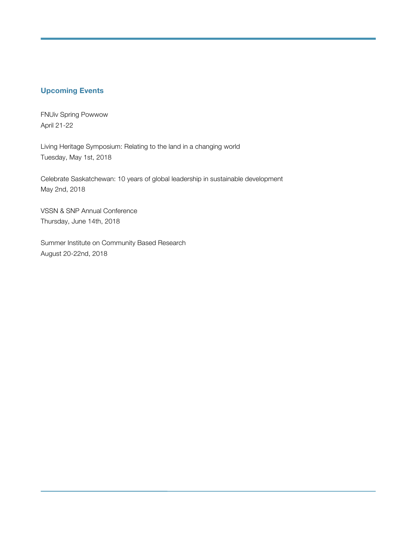# **Upcoming Events**

FNUiv Spring Powwow April 21-22

Living Heritage Symposium: Relating to the land in a changing world Tuesday, May 1st, 2018

Celebrate Saskatchewan: 10 years of global leadership in sustainable development May 2nd, 2018

VSSN & SNP Annual Conference Thursday, June 14th, 2018

Summer Institute on Community Based Research August 20-22nd, 2018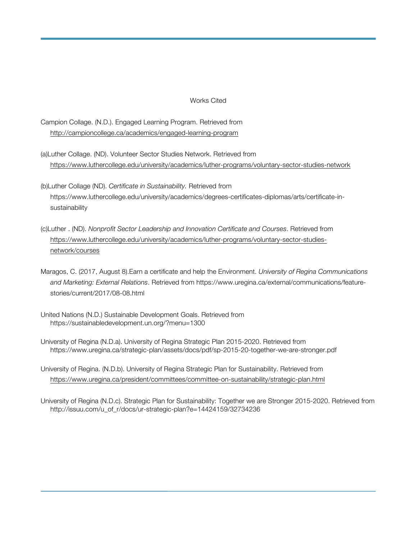# Works Cited

Campion Collage. (N.D.). Engaged Learning Program. Retrieved from http://campioncollege.ca/academics/engaged-learning-program

- (a)Luther Collage. (ND). Volunteer Sector Studies Network. Retrieved from https://www.luthercollege.edu/university/academics/luther-programs/voluntary-sector-studies-network
- (b)Luther Collage (ND). *Certificate in Sustainability.* Retrieved from https://www.luthercollege.edu/university/academics/degrees-certificates-diplomas/arts/certificate-insustainability
- (c)Luther . (ND). *Nonprofit Sector Leadership and Innovation Certificate and Courses*. Retrieved from https://www.luthercollege.edu/university/academics/luther-programs/voluntary-sector-studiesnetwork/courses
- Maragos, C. (2017, August 8).Earn a certificate and help the Environment. *University of Regina Communications and Marketing: External Relations*. Retrieved from https://www.uregina.ca/external/communications/featurestories/current/2017/08-08.html
- United Nations (N.D.) Sustainable Development Goals. Retrieved from https://sustainabledevelopment.un.org/?menu=1300
- University of Regina (N.D.a). University of Regina Strategic Plan 2015-2020. Retrieved from https://www.uregina.ca/strategic-plan/assets/docs/pdf/sp-2015-20-together-we-are-stronger.pdf
- University of Regina. (N.D.b). University of Regina Strategic Plan for Sustainability. Retrieved from https://www.uregina.ca/president/committees/committee-on-sustainability/strategic-plan.html
- University of Regina (N.D.c). Strategic Plan for Sustainability: Together we are Stronger 2015-2020. Retrieved from http://issuu.com/u\_of\_r/docs/ur-strategic-plan?e=14424159/32734236